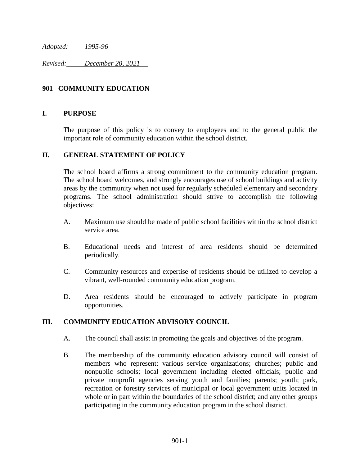*Adopted: 1995-96*

*Revised: December 20, 2021*

## **901 COMMUNITY EDUCATION**

### **I. PURPOSE**

The purpose of this policy is to convey to employees and to the general public the important role of community education within the school district.

### **II. GENERAL STATEMENT OF POLICY**

The school board affirms a strong commitment to the community education program. The school board welcomes, and strongly encourages use of school buildings and activity areas by the community when not used for regularly scheduled elementary and secondary programs. The school administration should strive to accomplish the following objectives:

- A. Maximum use should be made of public school facilities within the school district service area.
- B. Educational needs and interest of area residents should be determined periodically.
- C. Community resources and expertise of residents should be utilized to develop a vibrant, well-rounded community education program.
- D. Area residents should be encouraged to actively participate in program opportunities.

### **III. COMMUNITY EDUCATION ADVISORY COUNCIL**

- A. The council shall assist in promoting the goals and objectives of the program.
- B. The membership of the community education advisory council will consist of members who represent: various service organizations; churches; public and nonpublic schools; local government including elected officials; public and private nonprofit agencies serving youth and families; parents; youth; park, recreation or forestry services of municipal or local government units located in whole or in part within the boundaries of the school district; and any other groups participating in the community education program in the school district.